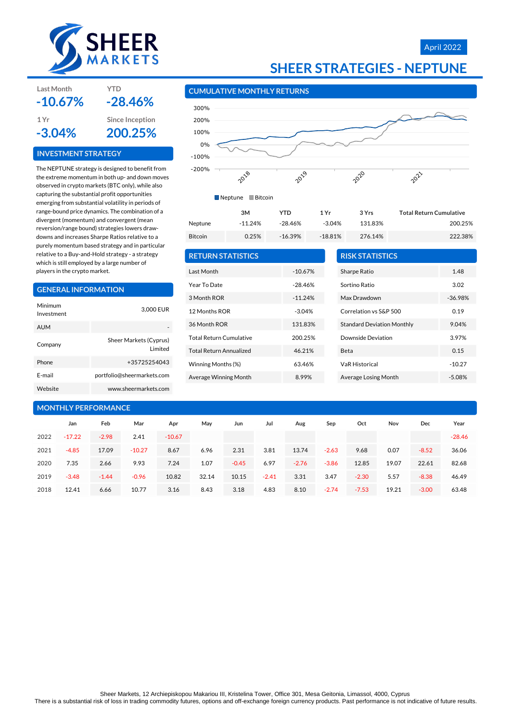

#### April 2022

### **SHEER STRATEGIES - NEPTUNE**

#### **CUMULATIVE MONTHLY RETURNS**



| <b>RETURN STATISTICS</b>       |           | <b>RISK STATISTICS</b>            |           |
|--------------------------------|-----------|-----------------------------------|-----------|
| Last Month                     | $-10.67%$ | Sharpe Ratio                      | 1.48      |
| Year To Date                   | $-28.46%$ | Sortino Ratio                     | 3.02      |
| 3 Month ROR                    | $-11.24%$ | Max Drawdown                      | $-36.98%$ |
| 12 Months ROR                  | $-3.04%$  | Correlation vs S&P 500            | 0.19      |
| 36 Month ROR                   | 131.83%   | <b>Standard Deviation Monthly</b> | 9.04%     |
| <b>Total Return Cumulative</b> | 200.25%   | Downside Deviation                | 3.97%     |
| <b>Total Return Annualized</b> | 46.21%    | <b>Beta</b>                       | 0.15      |
| Winning Months (%)             | 63.46%    | <b>VaR Historical</b>             | $-10.27$  |
| Average Winning Month          | 8.99%     | Average Losing Month              | $-5.08%$  |
|                                |           |                                   |           |

| E-mail                     |          |         | portfolio@sheermarkets.com |          | Average Winning Month |         |         | 8.99%   |         | Average Losing Month |       |         | $-5.08%$ |
|----------------------------|----------|---------|----------------------------|----------|-----------------------|---------|---------|---------|---------|----------------------|-------|---------|----------|
| Website                    |          |         | www.sheermarkets.com       |          |                       |         |         |         |         |                      |       |         |          |
| <b>MONTHLY PERFORMANCE</b> |          |         |                            |          |                       |         |         |         |         |                      |       |         |          |
|                            | Jan      | Feb     | Mar                        | Apr      | May                   | Jun     | Jul     | Aug     | Sep     | Oct                  | Nov   | Dec     | Year     |
| 2022                       | $-17.22$ | $-2.98$ | 2.41                       | $-10.67$ |                       |         |         |         |         |                      |       |         | $-28.46$ |
| 2021                       | $-4.85$  | 17.09   | $-10.27$                   | 8.67     | 6.96                  | 2.31    | 3.81    | 13.74   | $-2.63$ | 9.68                 | 0.07  | $-8.52$ | 36.06    |
| 2020                       | 7.35     | 2.66    | 9.93                       | 7.24     | 1.07                  | $-0.45$ | 6.97    | $-2.76$ | $-3.86$ | 12.85                | 19.07 | 22.61   | 82.68    |
| 2019                       | $-3.48$  | $-1.44$ | $-0.96$                    | 10.82    | 32.14                 | 10.15   | $-2.41$ | 3.31    | 3.47    | $-2.30$              | 5.57  | $-8.38$ | 46.49    |
| 2018                       | 12.41    | 6.66    | 10.77                      | 3.16     | 8.43                  | 3.18    | 4.83    | 8.10    | $-2.74$ | $-7.53$              | 19.21 | $-3.00$ | 63.48    |

#### **INVESTMENT STRATEGY**

The NEPTUNE strategy is designed to benefit from the extreme momentum in both up- and down moves observed in crypto markets (BTC only), while also capturing the substantial profit opportunities emerging from substantial volatility in periods of range-bound price dynamics. The combination of a divergent (momentum) and convergent (mean reversion/range bound) strategies lowers drawdowns and increases Sharpe Ratios relative to a purely momentum based strategy and in particular relative to a Buy-and-Hold strategy - a strategy which is still employed by a large number of players in the crypto market.

#### **GENERAL INFORMATION**

| Minimum<br>Investment | 3,000 EUR                          |
|-----------------------|------------------------------------|
| <b>AUM</b>            |                                    |
| Company               | Sheer Markets (Cyprus)<br>I imited |
| Phone                 | +35725254043                       |
| F-mail                | portfolio@sheermarkets.com         |
| Website               | www.sheermarkets.com               |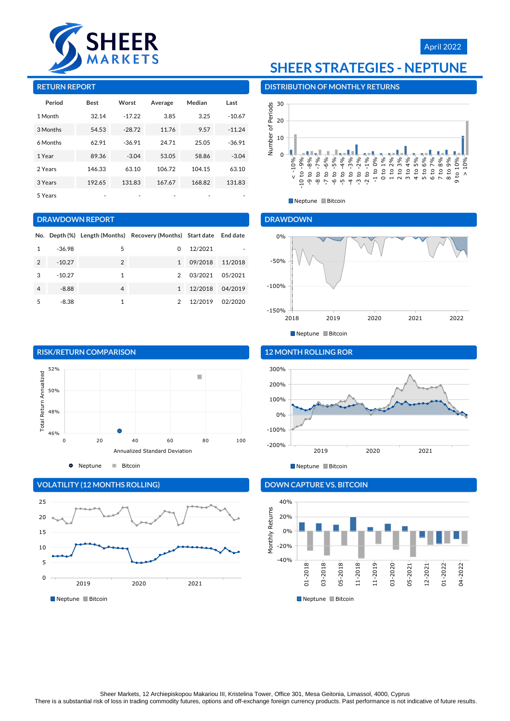



#### **RETURN REPORT**

| Period   | <b>Best</b> | Worst    | Average | Median | Last     |
|----------|-------------|----------|---------|--------|----------|
| 1 Month  | 32.14       | $-17.22$ | 3.85    | 3.25   | $-10.67$ |
| 3 Months | 54.53       | $-28.72$ | 11.76   | 9.57   | $-11.24$ |
| 6 Months | 62.91       | $-36.91$ | 24.71   | 25.05  | $-36.91$ |
| 1 Year   | 89.36       | $-3.04$  | 53.05   | 58.86  | $-3.04$  |
| 2 Years  | 146.33      | 63.10    | 106.72  | 104.15 | 63.10    |
| 3 Years  | 192.65      | 131.83   | 167.67  | 168.82 | 131.83   |
| 5 Years  |             |          |         |        |          |

#### **DRAWDOWN REPORT**

|                |          |                | No. Depth (%) Length (Months) Recovery (Months) Start date End date |         |         |
|----------------|----------|----------------|---------------------------------------------------------------------|---------|---------|
|                | -36.98   | 5              | 0                                                                   | 12/2021 |         |
| $\mathfrak{D}$ | $-10.27$ | $\overline{2}$ | $\mathbf{1}$                                                        | 09/2018 | 11/2018 |
| 3              | $-10.27$ | 1              | $\mathcal{P}$                                                       | 03/2021 | 05/2021 |
| 4              | $-8.88$  | $\overline{4}$ | $\mathbf{1}$                                                        | 12/2018 | 04/2019 |
| 5              | $-8.38$  | 1              | 2                                                                   | 12/2019 | 02/2020 |



**O** Neptune **Bitcoin** 



#### **VOLATILITY (12 MONTHS ROLLING)**

## **SHEER STRATEGIES - NEPTUNE**

### **DISTRIBUTION OF MONTHLY RETURNS**



Neptune Bitcoin

#### **DRAWDOWN**



#### **12 MONTH ROLLING ROR**



### **DOWN CAPTURE VS. BITCOIN**



<sup>■</sup>Neptune ■Bitcoin